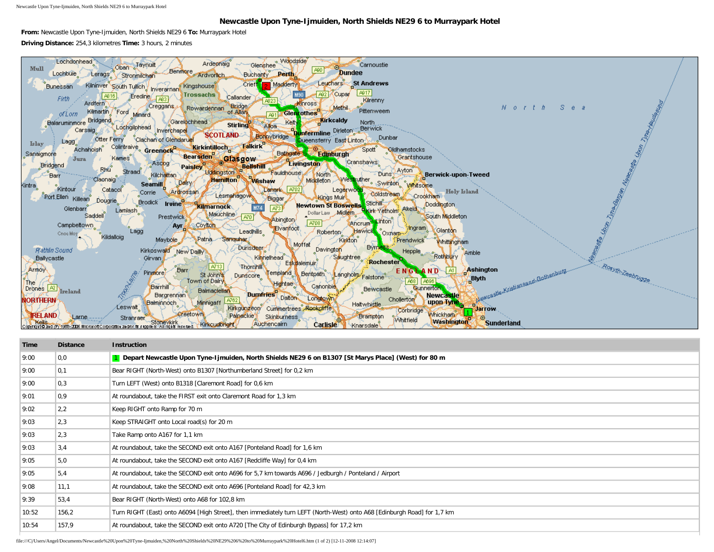Newcastle Upon Tyne-Ijmuiden, North Shields NE29 6 to Murraypark Hotel

## **Newcastle Upon Tyne-Ijmuiden, North Shields NE29 6 to Murraypark Hotel**

**From:** Newcastle Upon Tyne-Ijmuiden, North Shields NE29 6 **To:** Murraypark Hotel **Driving Distance:** 254,3 kilometres **Time:** 3 hours, 2 minutes



| Time  | <b>Distance</b>   | <b>Instruction</b>                                                                                                       |
|-------|-------------------|--------------------------------------------------------------------------------------------------------------------------|
| 9:00  | 0,0               | 1 Depart Newcastle Upon Tyne-Ijmuiden, North Shields NE29 6 on B1307 [St Marys Place] (West) for 80 m                    |
| 9:00  | $\vert 0,1 \vert$ | Bear RIGHT (North-West) onto B1307 [Northumberland Street] for 0,2 km                                                    |
| 9:00  | 0,3               | Turn LEFT (West) onto B1318 [Claremont Road] for 0,6 km                                                                  |
| 9:01  | 0,9               | At roundabout, take the FIRST exit onto Claremont Road for 1,3 km                                                        |
| 9:02  | 2,2               | Keep RIGHT onto Ramp for 70 m                                                                                            |
| 9:03  | 2,3               | Keep STRAIGHT onto Local road(s) for 20 m                                                                                |
| 9:03  | 2,3               | Take Ramp onto A167 for 1,1 km                                                                                           |
| 9:03  | 3,4               | At roundabout, take the SECOND exit onto A167 [Ponteland Road] for 1,6 km                                                |
| 9:05  | 5,0               | At roundabout, take the SECOND exit onto A167 [Redcliffe Way] for 0,4 km                                                 |
| 9:05  | 5,4               | At roundabout, take the SECOND exit onto A696 for 5,7 km towards A696 / Jedburgh / Ponteland / Airport                   |
| 9:08  | 11,1              | At roundabout, take the SECOND exit onto A696 [Ponteland Road] for 42,3 km                                               |
| 9:39  | 53.4              | Bear RIGHT (North-West) onto A68 for 102,8 km                                                                            |
| 10:52 | 156,2             | Turn RIGHT (East) onto A6094 [High Street], then immediately turn LEFT (North-West) onto A68 [Edinburgh Road] for 1,7 km |
| 10:54 | 157,9             | At roundabout, take the SECOND exit onto A720 [The City of Edinburgh Bypass] for 17,2 km                                 |